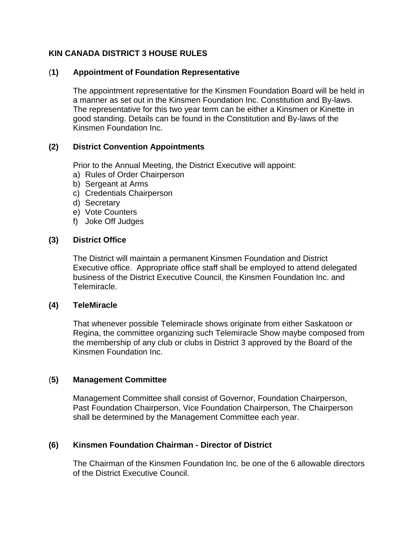## **KIN CANADA DISTRICT 3 HOUSE RULES**

### (**1) Appointment of Foundation Representative**

The appointment representative for the Kinsmen Foundation Board will be held in a manner as set out in the Kinsmen Foundation Inc. Constitution and By-laws. The representative for this two year term can be either a Kinsmen or Kinette in good standing. Details can be found in the Constitution and By-laws of the Kinsmen Foundation Inc.

## **(2) District Convention Appointments**

Prior to the Annual Meeting, the District Executive will appoint:

- a) Rules of Order Chairperson
- b) Sergeant at Arms
- c) Credentials Chairperson
- d) Secretary
- e) Vote Counters
- f) Joke Off Judges

#### **(3) District Office**

The District will maintain a permanent Kinsmen Foundation and District Executive office. Appropriate office staff shall be employed to attend delegated business of the District Executive Council, the Kinsmen Foundation Inc. and Telemiracle.

#### **(4) TeleMiracle**

That whenever possible Telemiracle shows originate from either Saskatoon or Regina, the committee organizing such Telemiracle Show maybe composed from the membership of any club or clubs in District 3 approved by the Board of the Kinsmen Foundation Inc.

#### (**5) Management Committee**

Management Committee shall consist of Governor, Foundation Chairperson, Past Foundation Chairperson, Vice Foundation Chairperson, The Chairperson shall be determined by the Management Committee each year.

## **(6) Kinsmen Foundation Chairman - Director of District**

The Chairman of the Kinsmen Foundation Inc. be one of the 6 allowable directors of the District Executive Council.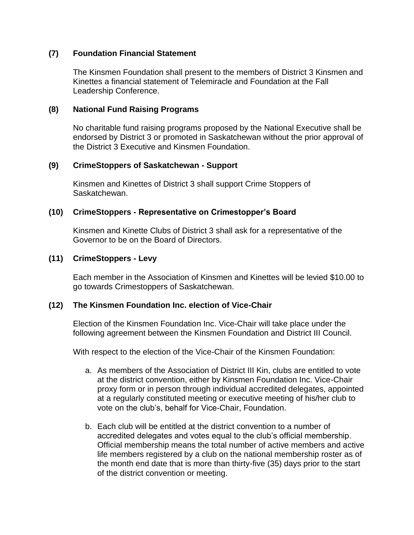## **(7) Foundation Financial Statement**

The Kinsmen Foundation shall present to the members of District 3 Kinsmen and Kinettes a financial statement of Telemiracle and Foundation at the Fall Leadership Conference.

## **(8) National Fund Raising Programs**

No charitable fund raising programs proposed by the National Executive shall be endorsed by District 3 or promoted in Saskatchewan without the prior approval of the District 3 Executive and Kinsmen Foundation.

## **(9) CrimeStoppers of Saskatchewan - Support**

Kinsmen and Kinettes of District 3 shall support Crime Stoppers of Saskatchewan.

## **(10) CrimeStoppers - Representative on Crimestopper's Board**

Kinsmen and Kinette Clubs of District 3 shall ask for a representative of the Governor to be on the Board of Directors.

## **(11) CrimeStoppers - Levy**

Each member in the Association of Kinsmen and Kinettes will be levied \$10.00 to go towards Crimestoppers of Saskatchewan.

## **(12) The Kinsmen Foundation Inc. election of Vice-Chair**

Election of the Kinsmen Foundation Inc. Vice-Chair will take place under the following agreement between the Kinsmen Foundation and District III Council.

With respect to the election of the Vice-Chair of the Kinsmen Foundation:

- a. As members of the Association of District III Kin, clubs are entitled to vote at the district convention, either by Kinsmen Foundation Inc. Vice-Chair proxy form or in person through individual accredited delegates, appointed at a regularly constituted meeting or executive meeting of his/her club to vote on the club's, behalf for Vice-Chair, Foundation.
- b. Each club will be entitled at the district convention to a number of accredited delegates and votes equal to the club's official membership. Official membership means the total number of active members and active life members registered by a club on the national membership roster as of the month end date that is more than thirty-five (35) days prior to the start of the district convention or meeting.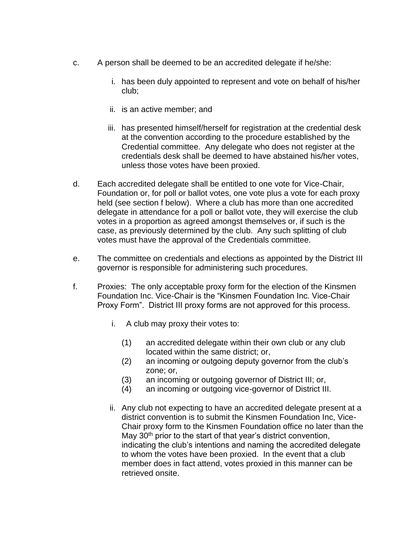- c. A person shall be deemed to be an accredited delegate if he/she:
	- i. has been duly appointed to represent and vote on behalf of his/her club;
	- ii. is an active member; and
	- iii. has presented himself/herself for registration at the credential desk at the convention according to the procedure established by the Credential committee. Any delegate who does not register at the credentials desk shall be deemed to have abstained his/her votes, unless those votes have been proxied.
- d. Each accredited delegate shall be entitled to one vote for Vice-Chair, Foundation or, for poll or ballot votes, one vote plus a vote for each proxy held (see section f below). Where a club has more than one accredited delegate in attendance for a poll or ballot vote, they will exercise the club votes in a proportion as agreed amongst themselves or, if such is the case, as previously determined by the club. Any such splitting of club votes must have the approval of the Credentials committee.
- e. The committee on credentials and elections as appointed by the District III governor is responsible for administering such procedures.
- f. Proxies: The only acceptable proxy form for the election of the Kinsmen Foundation Inc. Vice-Chair is the "Kinsmen Foundation Inc. Vice-Chair Proxy Form". District III proxy forms are not approved for this process.
	- i. A club may proxy their votes to:
		- (1) an accredited delegate within their own club or any club located within the same district; or,
		- (2) an incoming or outgoing deputy governor from the club's zone; or,
		- (3) an incoming or outgoing governor of District III; or,
		- (4) an incoming or outgoing vice-governor of District III.
	- ii. Any club not expecting to have an accredited delegate present at a district convention is to submit the Kinsmen Foundation Inc, Vice-Chair proxy form to the Kinsmen Foundation office no later than the May 30<sup>th</sup> prior to the start of that year's district convention, indicating the club's intentions and naming the accredited delegate to whom the votes have been proxied. In the event that a club member does in fact attend, votes proxied in this manner can be retrieved onsite.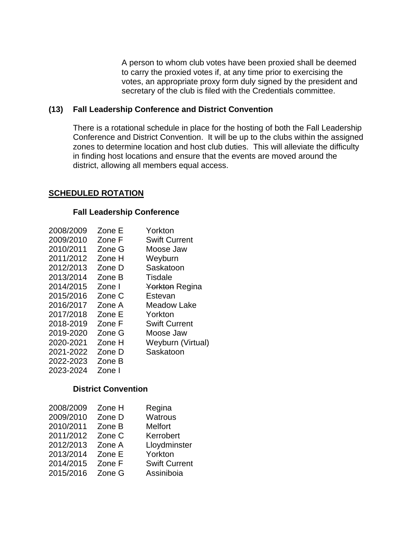A person to whom club votes have been proxied shall be deemed to carry the proxied votes if, at any time prior to exercising the votes, an appropriate proxy form duly signed by the president and secretary of the club is filed with the Credentials committee.

## **(13) Fall Leadership Conference and District Convention**

There is a rotational schedule in place for the hosting of both the Fall Leadership Conference and District Convention. It will be up to the clubs within the assigned zones to determine location and host club duties. This will alleviate the difficulty in finding host locations and ensure that the events are moved around the district, allowing all members equal access.

#### **SCHEDULED ROTATION**

#### **Fall Leadership Conference**

| 2008/2009 | Zone E | Yorkton              |
|-----------|--------|----------------------|
| 2009/2010 | Zone F | <b>Swift Current</b> |
| 2010/2011 | Zone G | Moose Jaw            |
| 2011/2012 | Zone H | Weyburn              |
| 2012/2013 | Zone D | Saskatoon            |
| 2013/2014 | Zone B | Tisdale              |
| 2014/2015 | Zone I | Yorkton Regina       |
| 2015/2016 | Zone C | Estevan              |
| 2016/2017 | Zone A | Meadow Lake          |
| 2017/2018 | Zone E | Yorkton              |
| 2018-2019 | Zone F | <b>Swift Current</b> |
| 2019-2020 | Zone G | Moose Jaw            |
| 2020-2021 | Zone H | Weyburn (Virtual)    |
| 2021-2022 | Zone D | Saskatoon            |
| 2022-2023 | Zone B |                      |
| 2023-2024 | Zone I |                      |

# **District Convention**

| 2008/2009 | Zone H | Regina               |
|-----------|--------|----------------------|
| 2009/2010 | Zone D | <b>Watrous</b>       |
| 2010/2011 | Zone B | <b>Melfort</b>       |
| 2011/2012 | Zone C | Kerrobert            |
| 2012/2013 | Zone A | Lloydminster         |
| 2013/2014 | Zone E | Yorkton              |
| 2014/2015 | Zone F | <b>Swift Current</b> |
| 2015/2016 | Zone G | Assiniboia           |